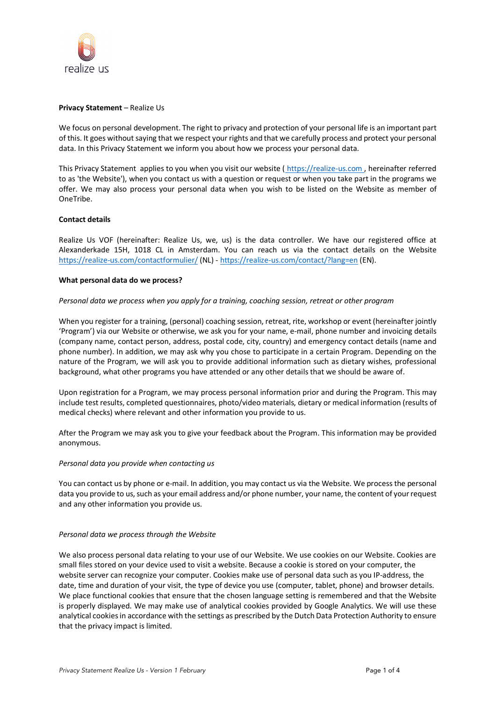

### **Privacy Statement** – Realize Us

We focus on personal development. The right to privacy and protection of your personal life is an important part of this. It goes without saying that we respect your rights and that we carefully process and protect your personal data. In this Privacy Statement we inform you about how we process your personal data.

This Privacy Statement applies to you when you visit our website ( https://realize-us.com , hereinafter referred to as 'the Website'), when you contact us with a question or request or when you take part in the programs we offer. We may also process your personal data when you wish to be listed on the Website as member of OneTribe.

# **Contact details**

Realize Us VOF (hereinafter: Realize Us, we, us) is the data controller. We have our registered office at Alexanderkade 15H, 1018 CL in Amsterdam. You can reach us via the contact details on the Website https://realize-us.com/contactformulier/ (NL) - https://realize-us.com/contact/?lang=en (EN).

### **What personal data do we process?**

### *Personal data we process when you apply for a training, coaching session, retreat or other program*

When you register for a training, (personal) coaching session, retreat, rite, workshop or event (hereinafter jointly 'Program') via our Website or otherwise, we ask you for your name, e-mail, phone number and invoicing details (company name, contact person, address, postal code, city, country) and emergency contact details (name and phone number). In addition, we may ask why you chose to participate in a certain Program. Depending on the nature of the Program, we will ask you to provide additional information such as dietary wishes, professional background, what other programs you have attended or any other details that we should be aware of.

Upon registration for a Program, we may process personal information prior and during the Program. This may include test results, completed questionnaires, photo/video materials, dietary or medical information (results of medical checks) where relevant and other information you provide to us.

After the Program we may ask you to give your feedback about the Program. This information may be provided anonymous.

#### *Personal data you provide when contacting us*

You can contact us by phone or e-mail. In addition, you may contact us via the Website. We process the personal data you provide to us, such as your email address and/or phone number, your name, the content of your request and any other information you provide us.

#### *Personal data we process through the Website*

We also process personal data relating to your use of our Website. We use cookies on our Website. Cookies are small files stored on your device used to visit a website. Because a cookie is stored on your computer, the website server can recognize your computer. Cookies make use of personal data such as you IP-address, the date, time and duration of your visit, the type of device you use (computer, tablet, phone) and browser details. We place functional cookies that ensure that the chosen language setting is remembered and that the Website is properly displayed. We may make use of analytical cookies provided by Google Analytics. We will use these analytical cookies in accordance with the settings as prescribed by the Dutch Data Protection Authority to ensure that the privacy impact is limited.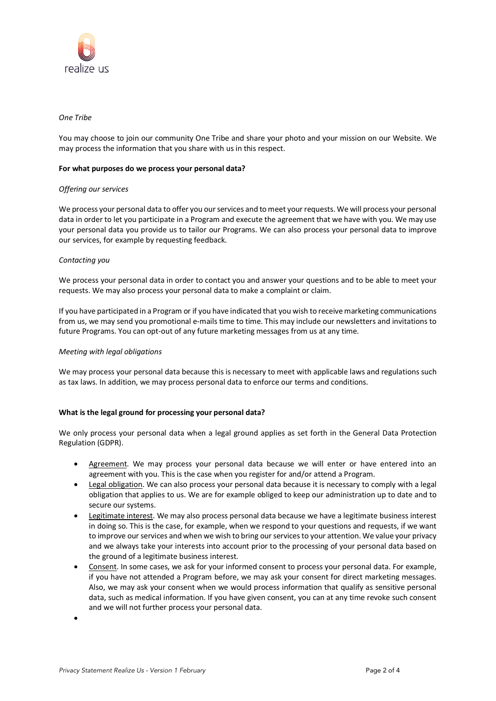

## *One Tribe*

You may choose to join our community One Tribe and share your photo and your mission on our Website. We may process the information that you share with us in this respect.

#### **For what purposes do we process your personal data?**

#### *Offering our services*

We process your personal data to offer you our services and to meet your requests. We will process your personal data in order to let you participate in a Program and execute the agreement that we have with you. We may use your personal data you provide us to tailor our Programs. We can also process your personal data to improve our services, for example by requesting feedback.

### *Contacting you*

We process your personal data in order to contact you and answer your questions and to be able to meet your requests. We may also process your personal data to make a complaint or claim.

If you have participated in a Program or if you have indicated that you wish to receive marketing communications from us, we may send you promotional e-mails time to time. This may include our newsletters and invitations to future Programs. You can opt-out of any future marketing messages from us at any time.

#### *Meeting with legal obligations*

We may process your personal data because this is necessary to meet with applicable laws and regulations such as tax laws. In addition, we may process personal data to enforce our terms and conditions.

# **What is the legal ground for processing your personal data?**

We only process your personal data when a legal ground applies as set forth in the General Data Protection Regulation (GDPR).

- Agreement. We may process your personal data because we will enter or have entered into an agreement with you. This is the case when you register for and/or attend a Program.
- Legal obligation. We can also process your personal data because it is necessary to comply with a legal obligation that applies to us. We are for example obliged to keep our administration up to date and to secure our systems.
- Legitimate interest. We may also process personal data because we have a legitimate business interest in doing so. This is the case, for example, when we respond to your questions and requests, if we want to improve our services and when we wish to bring our services to your attention. We value your privacy and we always take your interests into account prior to the processing of your personal data based on the ground of a legitimate business interest.
- Consent. In some cases, we ask for your informed consent to process your personal data. For example, if you have not attended a Program before, we may ask your consent for direct marketing messages. Also, we may ask your consent when we would process information that qualify as sensitive personal data, such as medical information. If you have given consent, you can at any time revoke such consent and we will not further process your personal data.

•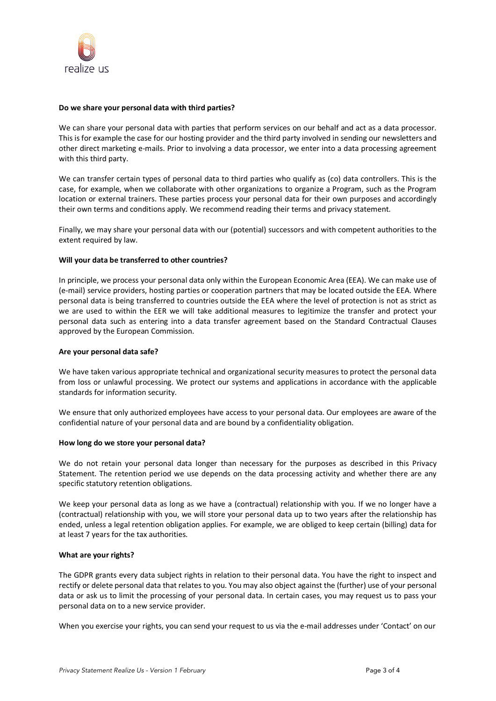

### **Do we share your personal data with third parties?**

We can share your personal data with parties that perform services on our behalf and act as a data processor. This is for example the case for our hosting provider and the third party involved in sending our newsletters and other direct marketing e-mails. Prior to involving a data processor, we enter into a data processing agreement with this third party.

We can transfer certain types of personal data to third parties who qualify as (co) data controllers. This is the case, for example, when we collaborate with other organizations to organize a Program, such as the Program location or external trainers. These parties process your personal data for their own purposes and accordingly their own terms and conditions apply. We recommend reading their terms and privacy statement.

Finally, we may share your personal data with our (potential) successors and with competent authorities to the extent required by law.

### **Will your data be transferred to other countries?**

In principle, we process your personal data only within the European Economic Area (EEA). We can make use of (e-mail) service providers, hosting parties or cooperation partners that may be located outside the EEA. Where personal data is being transferred to countries outside the EEA where the level of protection is not as strict as we are used to within the EER we will take additional measures to legitimize the transfer and protect your personal data such as entering into a data transfer agreement based on the Standard Contractual Clauses approved by the European Commission.

#### **Are your personal data safe?**

We have taken various appropriate technical and organizational security measures to protect the personal data from loss or unlawful processing. We protect our systems and applications in accordance with the applicable standards for information security.

We ensure that only authorized employees have access to your personal data. Our employees are aware of the confidential nature of your personal data and are bound by a confidentiality obligation.

#### **How long do we store your personal data?**

We do not retain your personal data longer than necessary for the purposes as described in this Privacy Statement. The retention period we use depends on the data processing activity and whether there are any specific statutory retention obligations.

We keep your personal data as long as we have a (contractual) relationship with you. If we no longer have a (contractual) relationship with you, we will store your personal data up to two years after the relationship has ended, unless a legal retention obligation applies. For example, we are obliged to keep certain (billing) data for at least 7 years for the tax authorities.

# **What are your rights?**

The GDPR grants every data subject rights in relation to their personal data. You have the right to inspect and rectify or delete personal data that relates to you. You may also object against the (further) use of your personal data or ask us to limit the processing of your personal data. In certain cases, you may request us to pass your personal data on to a new service provider.

When you exercise your rights, you can send your request to us via the e-mail addresses under 'Contact' on our